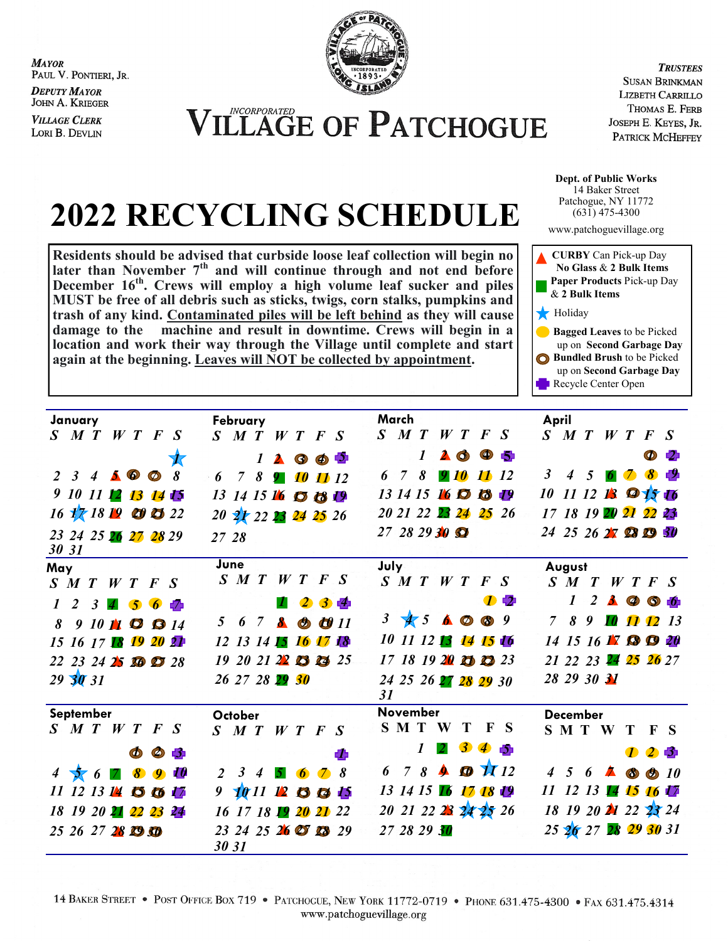**MAYOR** PAUL V. PONTIERI, JR.

**DEPUTY MAYOR** JOHN A. KRIEGER

**VILLAGE CLERK** LORI B. DEVLIN



**ILLAGE OF PATCHOGUE** 

**TRUSTEES SUSAN BRINKMAN** LIZBETH CARRILLO THOMAS E. FERB JOSEPH E. KEYES, JR. PATRICK MCHEFFEY

**Dept. of Public Works** 14 Baker Street Patchogue, NY 11772  $(63\bar{1})$  475-4300

www.patchoguevillage.org



**2022 RECYCLING SCHEDULE**

**Residents should be advised that curbside loose leaf collection will begin no later than November 7th and will continue through and not end before December 16th. Crews will employ a high volume leaf sucker and piles MUST be free of all debris such as sticks, twigs, corn stalks, pumpkins and trash of any kind. Contaminated piles will be left behind as they will cause damage to the machine and result in downtime. Crews will begin in a location and work their way through the Village until complete and start again at the beginning. Leaves will NOT be collected by appointment.** 

| January                                                  | February                                              | March                                                                                                                                                                                                                                                                                                                                                                                                                                            | April                                                                                |
|----------------------------------------------------------|-------------------------------------------------------|--------------------------------------------------------------------------------------------------------------------------------------------------------------------------------------------------------------------------------------------------------------------------------------------------------------------------------------------------------------------------------------------------------------------------------------------------|--------------------------------------------------------------------------------------|
| $S$ $M$ $T$ $W$ $T$ $F$ $S$                              | $S$ $M$ $T$ $W$ $T$<br>$\bm{F} \cdot \bm{S}$          | $S$ $M$ $T$<br>W T F S                                                                                                                                                                                                                                                                                                                                                                                                                           | $S$ MTWTFS                                                                           |
|                                                          | $\Phi$ 5<br>$\boldsymbol{l}$<br>$\blacktriangle$<br>◑ | $\bullet$<br>$\blacktriangle$ $\clubsuit$<br>$\boldsymbol{I}$<br>61                                                                                                                                                                                                                                                                                                                                                                              | $\circledcirc$<br>- 12                                                               |
| $2$ 3 4 5 $\circ$<br>8<br>$\circledcirc$                 | 6 7 8<br>10 11 12<br>91                               | 8<br>6 7<br>910<br><b>11</b> 12                                                                                                                                                                                                                                                                                                                                                                                                                  | 3<br>8<br>$4\quad 5$<br>$\mathcal{Z}$<br>6                                           |
| 9 10 11 12 13 14 15                                      | 13 14 15 16 17 18 19                                  | 13 14 15 16 10<br><b>la</b><br>-19                                                                                                                                                                                                                                                                                                                                                                                                               | 11 12 <b>13 0 15 16</b><br><i>10</i>                                                 |
| $16\sqrt{17}$ $18\sqrt{19}$ $\odot$ $\odot$ $22$         | 20 21 22 23 24 25 26                                  | 20 21 22 23 24 25 26                                                                                                                                                                                                                                                                                                                                                                                                                             | 17 18 19 20 21 22 23                                                                 |
| 23 24 25 26 27 28 29<br>30 31                            | 27 28                                                 | $27$ 28 29 30 $\Omega$                                                                                                                                                                                                                                                                                                                                                                                                                           | 24 25 26 27 28 29 30                                                                 |
| May                                                      | June                                                  | July                                                                                                                                                                                                                                                                                                                                                                                                                                             | August                                                                               |
| $S$ M T W T F S                                          | $S \nmid T$<br>W T F S                                | $S \nmid T \mid W \mid T \mid F \mid S$                                                                                                                                                                                                                                                                                                                                                                                                          | $S$ $M$ $T$ $W$ $T$ $F$ $S$                                                          |
| 2<br>$\mathbf{3}$<br>$\vert$ 4<br>$\overline{6}$<br>- 65 | $3 - 4$<br>$\mathbf{2}$                               | $\mathcal{D}$                                                                                                                                                                                                                                                                                                                                                                                                                                    | $\boldsymbol{I}$<br>$2$ $\triangle$ $\circledcirc$<br>$-6$                           |
| $910$ $\uparrow \bullet$ $\bullet$ $14$<br>8             | 67 <sub>8</sub><br>5<br>$\bullet$ $\bullet$ $11$      | $\mathbf{3}$<br>$45 \triangle$ 0 8 9                                                                                                                                                                                                                                                                                                                                                                                                             | $9\quad 10\quad 11\quad 12$<br>$\overline{7}$<br>8<br><i>13</i>                      |
| 15 16 17 18 19 20 21                                     | 12 13 14 15 16 17 18                                  | 10 11 12 13 14 15 16                                                                                                                                                                                                                                                                                                                                                                                                                             | 14 15 16 $\blacksquare$ $\blacksquare$ $\blacksquare$<br>20                          |
| 22 23 24 25 30 27 28                                     | $19\ 20\ 21\ 22\ 13\ 14\ 25$                          | $17$ 18 19 20 13 23 23                                                                                                                                                                                                                                                                                                                                                                                                                           | 21 22 23 24 25 26 27                                                                 |
| 29 30 31                                                 | 26 27 28 29 30                                        | 24 25 26 27 28 29 30<br>31                                                                                                                                                                                                                                                                                                                                                                                                                       | 28 29 30 31                                                                          |
| September                                                | October                                               | <b>November</b>                                                                                                                                                                                                                                                                                                                                                                                                                                  | <b>December</b>                                                                      |
| $S$ $M$ $T$ $W$ $T$ $F$ $S$                              | $S$ MTWTFS                                            | S M T<br>Т<br>$\mathbf{F}$ S<br>$\mathbf{W}$                                                                                                                                                                                                                                                                                                                                                                                                     | SMTWTFS                                                                              |
| $\circledcirc$<br>Φ<br>-31                               | ď,                                                    | 3<br>45<br>$\boldsymbol{l}$                                                                                                                                                                                                                                                                                                                                                                                                                      | 125                                                                                  |
| Ф<br>8<br>$\overline{4}$<br>$\boldsymbol{q}$<br>56       | 2<br>3<br>8<br>$\overline{4}$<br>$\bullet$            | 78<br>$\bigcirc$ $\bigcirc$ $\bigcirc$ $\bigcirc$ $\bigcirc$ $\bigcirc$ $\bigcirc$ $\bigcirc$ $\bigcirc$ $\bigcirc$ $\bigcirc$ $\bigcirc$ $\bigcirc$ $\bigcirc$ $\bigcirc$ $\bigcirc$ $\bigcirc$ $\bigcirc$ $\bigcirc$ $\bigcirc$ $\bigcirc$ $\bigcirc$ $\bigcirc$ $\bigcirc$ $\bigcirc$ $\bigcirc$ $\bigcirc$ $\bigcirc$ $\bigcirc$ $\bigcirc$ $\bigcirc$ $\bigcirc$ $\bigcirc$ $\bigcirc$ $\bigcirc$ $\bigcirc$ $\bigcirc$<br>$\triangle$<br>6 | $4\quad 5$<br>6<br>$\blacktriangle$<br>$\circledcirc$<br>$\circledcirc$<br><i>10</i> |
| 11 12 13 14 15 16 17                                     | 9<br>1011 12 13 13 15                                 | 13 14 15 16 17 18 19                                                                                                                                                                                                                                                                                                                                                                                                                             | 11 12 13 14 15 16 17                                                                 |
| 18 19 20 21 22 23 24                                     | 16 17 18 19 20 21 22                                  | 20 21 22 23 24 25 26                                                                                                                                                                                                                                                                                                                                                                                                                             | 18 19 20 21 22 23 24                                                                 |
| 25 26 27 28 19 50                                        | 23 24 25 26 27 28 29<br>30 31                         | 27 28 29 30                                                                                                                                                                                                                                                                                                                                                                                                                                      | 25 26 27 28 29 30 31                                                                 |

14 BAKER STREET • POST OFFICE BOX 719 • PATCHOGUE, NEW YORK 11772-0719 • PHONE 631.475-4300 • FAX 631.475.4314 www.patchoguevillage.org